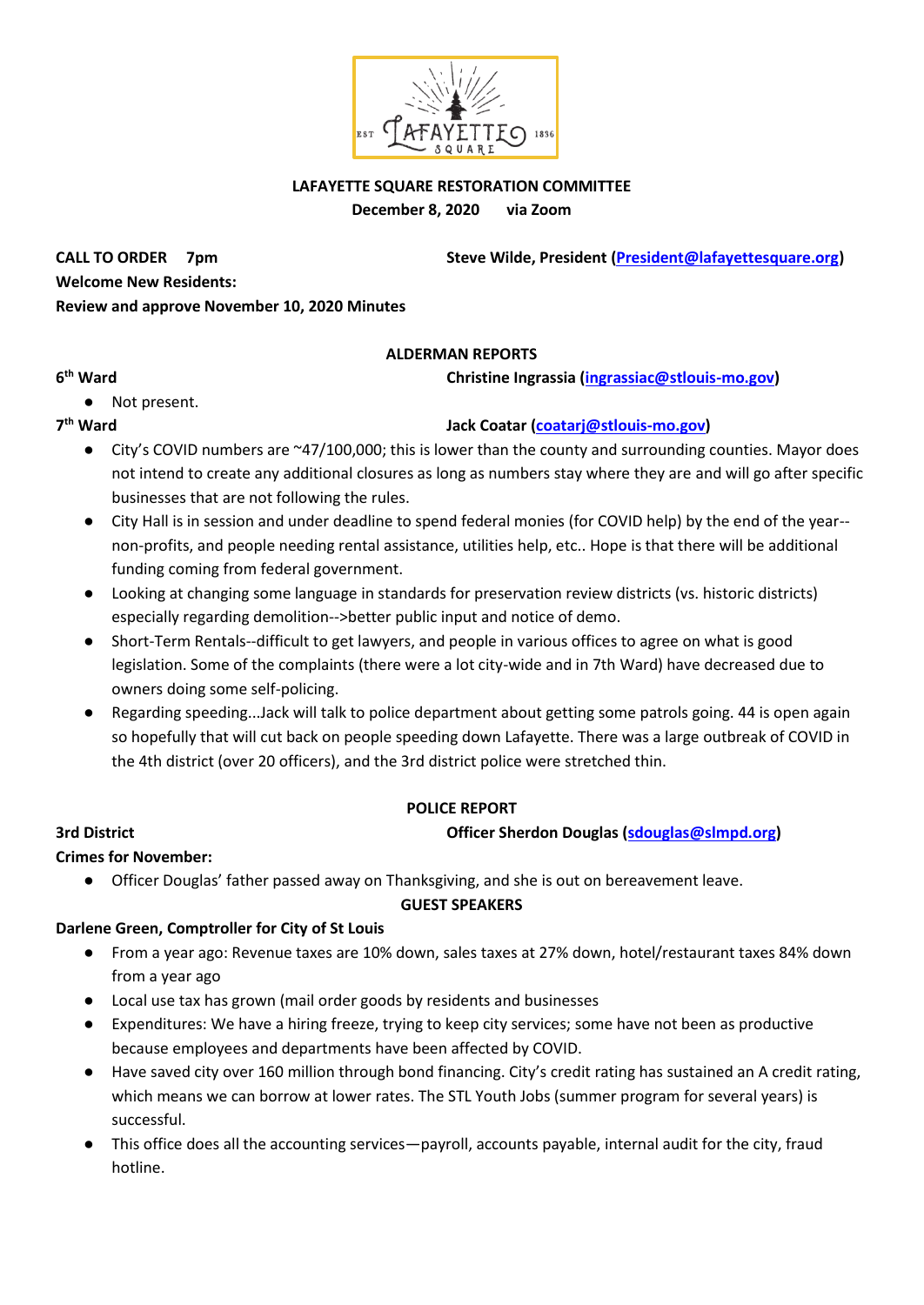

## **LAFAYETTE SQUARE RESTORATION COMMITTEE December 8, 2020 via Zoom**

**CALL TO ORDER** 7pm **Steve Wilde, President [\(President@lafayettesquare.org\)](mailto:President@lafayettesquare.org) Welcome New Residents: Review and approve November 10, 2020 Minutes**

## **ALDERMAN REPORTS**

**christine Ingrassia [\(ingrassiac@stlouis-mo.gov\)](mailto:ingrassiac@stlouis-mo.gov)** 

## **6**

● Not present.

## 7<sup>th</sup> Ward

# **th Ward Jack Coatar [\(coatarj@stlouis-mo.gov\)](mailto:coatarj@stlouis-mo.gov)**

- City's COVID numbers are ~47/100,000; this is lower than the county and surrounding counties. Mayor does not intend to create any additional closures as long as numbers stay where they are and will go after specific businesses that are not following the rules.
- City Hall is in session and under deadline to spend federal monies (for COVID help) by the end of the year- non-profits, and people needing rental assistance, utilities help, etc.. Hope is that there will be additional funding coming from federal government.
- Looking at changing some language in standards for preservation review districts (vs. historic districts) especially regarding demolition-->better public input and notice of demo.
- Short-Term Rentals--difficult to get lawyers, and people in various offices to agree on what is good legislation. Some of the complaints (there were a lot city-wide and in 7th Ward) have decreased due to owners doing some self-policing.
- Regarding speeding...Jack will talk to police department about getting some patrols going. 44 is open again so hopefully that will cut back on people speeding down Lafayette. There was a large outbreak of COVID in the 4th district (over 20 officers), and the 3rd district police were stretched thin.

## **POLICE REPORT**

## **3rd District Officer Sherdon Douglas [\(sdouglas@slmpd.org\)](mailto:sdouglas@slmpd.org)**

# **Crimes for November:**

● Officer Douglas' father passed away on Thanksgiving, and she is out on bereavement leave.

## **GUEST SPEAKERS**

## **Darlene Green, Comptroller for City of St Louis**

- From a year ago: Revenue taxes are 10% down, sales taxes at 27% down, hotel/restaurant taxes 84% down from a year ago
- Local use tax has grown (mail order goods by residents and businesses
- Expenditures: We have a hiring freeze, trying to keep city services; some have not been as productive because employees and departments have been affected by COVID.
- Have saved city over 160 million through bond financing. City's credit rating has sustained an A credit rating, which means we can borrow at lower rates. The STL Youth Jobs (summer program for several years) is successful.
- This office does all the accounting services—payroll, accounts payable, internal audit for the city, fraud hotline.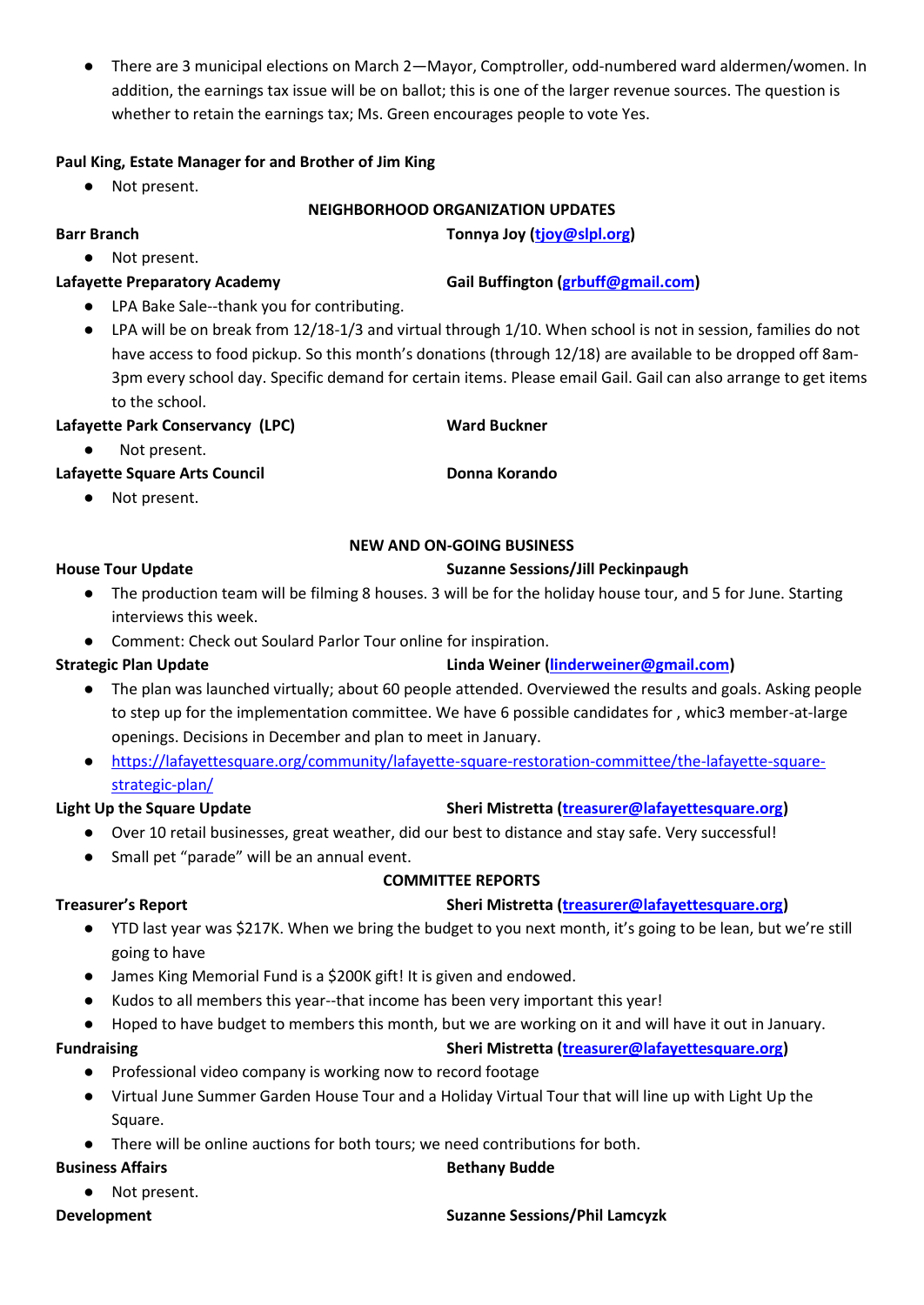● There are 3 municipal elections on March 2—Mayor, Comptroller, odd-numbered ward aldermen/women. In addition, the earnings tax issue will be on ballot; this is one of the larger revenue sources. The question is whether to retain the earnings tax; Ms. Green encourages people to vote Yes.

## **Paul King, Estate Manager for and Brother of Jim King**

Not present.

● Not present.

## **NEIGHBORHOOD ORGANIZATION UPDATES**

**Barr Branch Tonnya Joy [\(tjoy@slpl.org\)](mailto:tjoy@slpl.org)**

**Lafayette Preparatory Academy Gail Buffington [\(grbuff@gmail.com\)](mailto:grbuff@gmail.com)**

- LPA Bake Sale--thank you for contributing.
- LPA will be on break from 12/18-1/3 and virtual through 1/10. When school is not in session, families do not have access to food pickup. So this month's donations (through 12/18) are available to be dropped off 8am-3pm every school day. Specific demand for certain items. Please email Gail. Gail can also arrange to get items to the school.

## Lafayette Park Conservancy (LPC) Ward Buckner

Not present.

# Lafayette Square Arts Council **Donna Korando**

● Not present.

# **NEW AND ON-GOING BUSINESS**

## **House Tour Update Suzanne Sessions/Jill Peckinpaugh**

- The production team will be filming 8 houses. 3 will be for the holiday house tour, and 5 for June. Starting interviews this week.
- Comment: Check out Soulard Parlor Tour online for inspiration.

# **Strategic Plan Update Linda Weiner [\(linderweiner@gmail.com\)](mailto:linderweiner@gmail.com)**

- The plan was launched virtually; about 60 people attended. Overviewed the results and goals. Asking people to step up for the implementation committee. We have 6 possible candidates for , whic3 member-at-large openings. Decisions in December and plan to meet in January.
- [https://lafayettesquare.org/community/lafayette-square-restoration-committee/the-lafayette-square](https://lafayettesquare.org/community/lafayette-square-restoration-committee/the-lafayette-square-strategic-plan/)[strategic-plan/](https://lafayettesquare.org/community/lafayette-square-restoration-committee/the-lafayette-square-strategic-plan/)

# **Light Up the Square Update Sheri Mistretta [\(treasurer@lafayettesquare.org\)](mailto:treasurer@lafayettesquare.org)**

- Over 10 retail businesses, great weather, did our best to distance and stay safe. Very successful!
- Small pet "parade" will be an annual event.

# **COMMITTEE REPORTS**

# **Treasurer's Report Sheri Mistretta [\(treasurer@lafayettesquare.org\)](mailto:treasurer@lafayettesquare.org)**

- YTD last year was \$217K. When we bring the budget to you next month, it's going to be lean, but we're still going to have
- James King Memorial Fund is a \$200K gift! It is given and endowed.
- Kudos to all members this year--that income has been very important this year!
- Hoped to have budget to members this month, but we are working on it and will have it out in January.

# **Fundraising Sheri Mistretta [\(treasurer@lafayettesquare.org\)](mailto:treasurer@lafayettesquare.org)**

- Professional video company is working now to record footage
- Virtual June Summer Garden House Tour and a Holiday Virtual Tour that will line up with Light Up the Square.
- There will be online auctions for both tours; we need contributions for both.

## **Business Affairs Business Affairs Business Affairs Business Affairs Business Affairs**

● Not present.

## **Development Suzanne Sessions/Phil Lamcyzk**